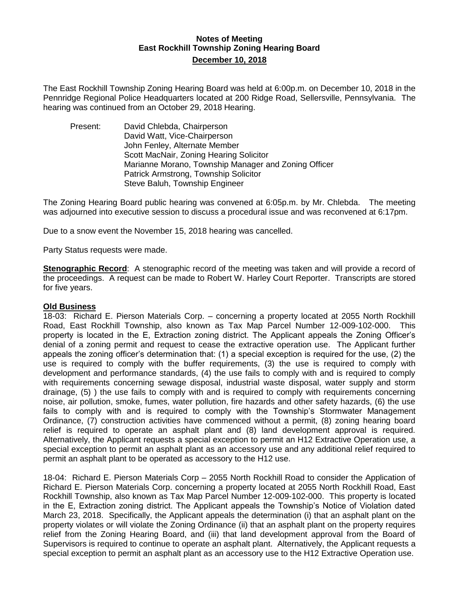## **Notes of Meeting East Rockhill Township Zoning Hearing Board December 10, 2018**

The East Rockhill Township Zoning Hearing Board was held at 6:00p.m. on December 10, 2018 in the Pennridge Regional Police Headquarters located at 200 Ridge Road, Sellersville, Pennsylvania. The hearing was continued from an October 29, 2018 Hearing.

Present: David Chlebda, Chairperson David Watt, Vice-Chairperson John Fenley, Alternate Member Scott MacNair, Zoning Hearing Solicitor Marianne Morano, Township Manager and Zoning Officer Patrick Armstrong, Township Solicitor Steve Baluh, Township Engineer

The Zoning Hearing Board public hearing was convened at 6:05p.m. by Mr. Chlebda. The meeting was adjourned into executive session to discuss a procedural issue and was reconvened at 6:17pm.

Due to a snow event the November 15, 2018 hearing was cancelled.

Party Status requests were made.

**Stenographic Record**: A stenographic record of the meeting was taken and will provide a record of the proceedings. A request can be made to Robert W. Harley Court Reporter. Transcripts are stored for five years.

### **Old Business**

18-03: Richard E. Pierson Materials Corp. – concerning a property located at 2055 North Rockhill Road, East Rockhill Township, also known as Tax Map Parcel Number 12-009-102-000. This property is located in the E, Extraction zoning district. The Applicant appeals the Zoning Officer's denial of a zoning permit and request to cease the extractive operation use. The Applicant further appeals the zoning officer's determination that: (1) a special exception is required for the use, (2) the use is required to comply with the buffer requirements, (3) the use is required to comply with development and performance standards, (4) the use fails to comply with and is required to comply with requirements concerning sewage disposal, industrial waste disposal, water supply and storm drainage, (5) ) the use fails to comply with and is required to comply with requirements concerning noise, air pollution, smoke, fumes, water pollution, fire hazards and other safety hazards, (6) the use fails to comply with and is required to comply with the Township's Stormwater Management Ordinance, (7) construction activities have commenced without a permit, (8) zoning hearing board relief is required to operate an asphalt plant and (8) land development approval is required. Alternatively, the Applicant requests a special exception to permit an H12 Extractive Operation use, a special exception to permit an asphalt plant as an accessory use and any additional relief required to permit an asphalt plant to be operated as accessory to the H12 use.

18-04: Richard E. Pierson Materials Corp – 2055 North Rockhill Road to consider the Application of Richard E. Pierson Materials Corp. concerning a property located at 2055 North Rockhill Road, East Rockhill Township, also known as Tax Map Parcel Number 12-009-102-000. This property is located in the E, Extraction zoning district. The Applicant appeals the Township's Notice of Violation dated March 23, 2018. Specifically, the Applicant appeals the determination (i) that an asphalt plant on the property violates or will violate the Zoning Ordinance (ii) that an asphalt plant on the property requires relief from the Zoning Hearing Board, and (iii) that land development approval from the Board of Supervisors is required to continue to operate an asphalt plant. Alternatively, the Applicant requests a special exception to permit an asphalt plant as an accessory use to the H12 Extractive Operation use.